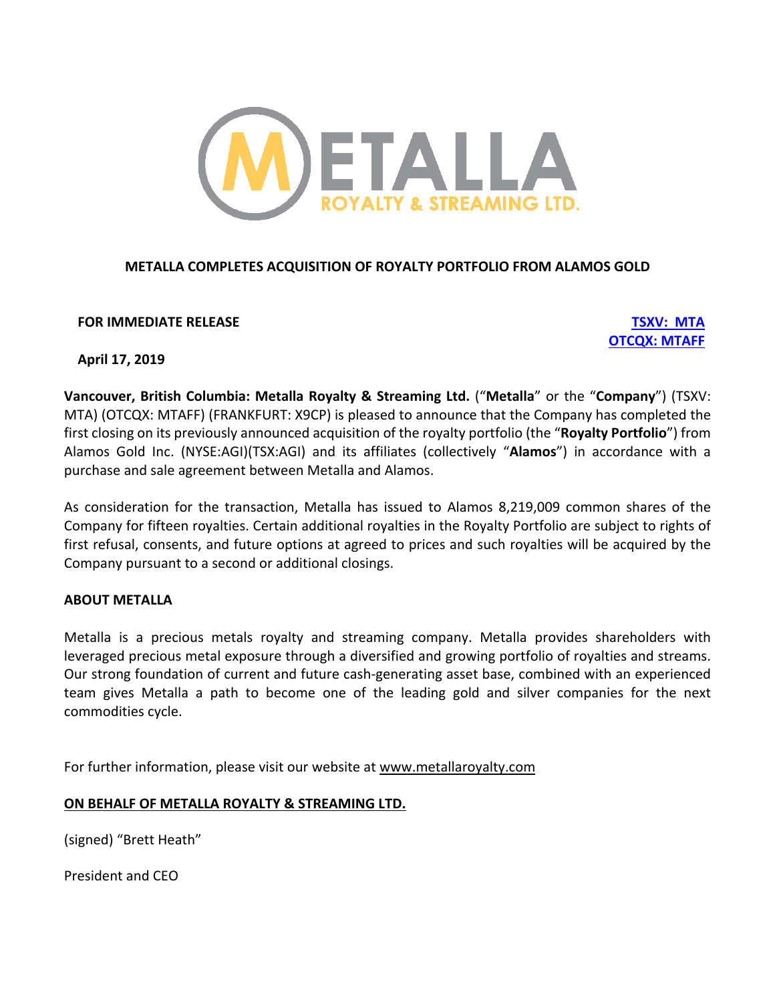

# **METALLA COMPLETES ACQUISITION OF ROYALTY PORTFOLIO FROM ALAMOS GOLD**

**FOR IMMEDIATE RELEASE TSXV: MTA**

**OTCQX: MTAFF**

# **April 17, 2019**

**Vancouver, British Columbia: Metalla Royalty & Streaming Ltd.** ("**Metalla**" or the "**Company**") (TSXV: MTA) (OTCQX: MTAFF) (FRANKFURT: X9CP) is pleased to announce that the Company has completed the first closing on its previously announced acquisition of the royalty portfolio (the "**Royalty Portfolio**") from Alamos Gold Inc. (NYSE:AGI)(TSX:AGI) and its affiliates (collectively "**Alamos**") in accordance with a purchase and sale agreement between Metalla and Alamos.

As consideration for the transaction, Metalla has issued to Alamos 8,219,009 common shares of the Company for fifteen royalties. Certain additional royalties in the Royalty Portfolio are subject to rights of first refusal, consents, and future options at agreed to prices and such royalties will be acquired by the Company pursuant to a second or additional closings.

## **ABOUT METALLA**

Metalla is a precious metals royalty and streaming company. Metalla provides shareholders with leveraged precious metal exposure through a diversified and growing portfolio of royalties and streams. Our strong foundation of current and future cash-generating asset base, combined with an experienced team gives Metalla a path to become one of the leading gold and silver companies for the next commodities cycle.

For further information, please visit our website at www.metallaroyalty.com

## **ON BEHALF OF METALLA ROYALTY & STREAMING LTD.**

(signed) "Brett Heath"

President and CEO